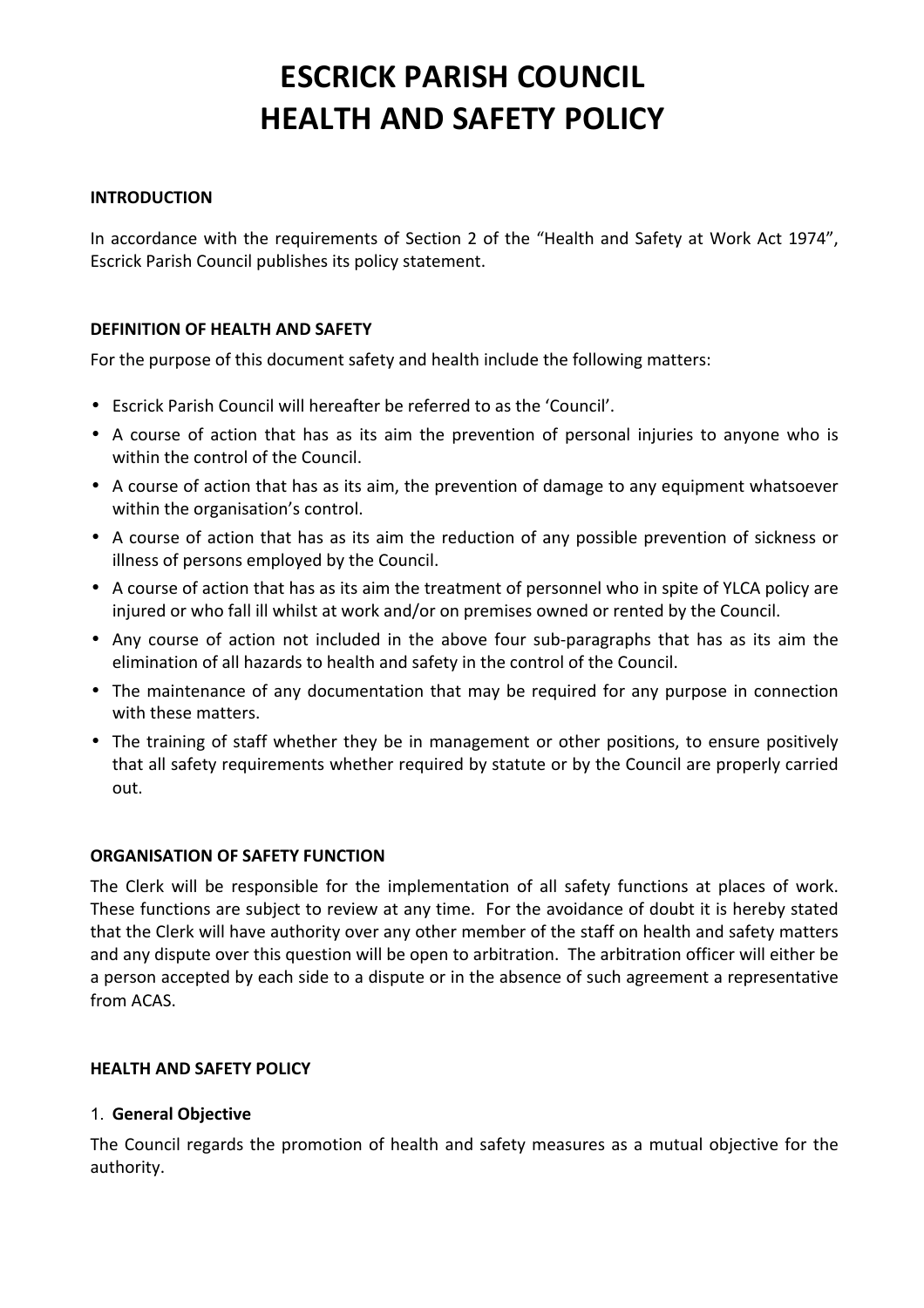# **ESCRICK PARISH COUNCIL HEALTH AND SAFETY POLICY**

## **INTRODUCTION**

In accordance with the requirements of Section 2 of the "Health and Safety at Work Act 1974", Escrick Parish Council publishes its policy statement.

## **DEFINITION OF HEALTH AND SAFETY**

For the purpose of this document safety and health include the following matters:

- Escrick Parish Council will hereafter be referred to as the 'Council'.
- A course of action that has as its aim the prevention of personal injuries to anyone who is within the control of the Council.
- A course of action that has as its aim, the prevention of damage to any equipment whatsoever within the organisation's control.
- A course of action that has as its aim the reduction of any possible prevention of sickness or illness of persons employed by the Council.
- A course of action that has as its aim the treatment of personnel who in spite of YLCA policy are injured or who fall ill whilst at work and/or on premises owned or rented by the Council.
- Any course of action not included in the above four sub-paragraphs that has as its aim the elimination of all hazards to health and safety in the control of the Council.
- The maintenance of any documentation that may be required for any purpose in connection with these matters.
- The training of staff whether they be in management or other positions, to ensure positively that all safety requirements whether required by statute or by the Council are properly carried out.

## **ORGANISATION OF SAFETY FUNCTION**

The Clerk will be responsible for the implementation of all safety functions at places of work. These functions are subject to review at any time. For the avoidance of doubt it is hereby stated that the Clerk will have authority over any other member of the staff on health and safety matters and any dispute over this question will be open to arbitration. The arbitration officer will either be a person accepted by each side to a dispute or in the absence of such agreement a representative from ACAS.

## **HEALTH AND SAFETY POLICY**

## 1. **General Objective**

The Council regards the promotion of health and safety measures as a mutual objective for the authority.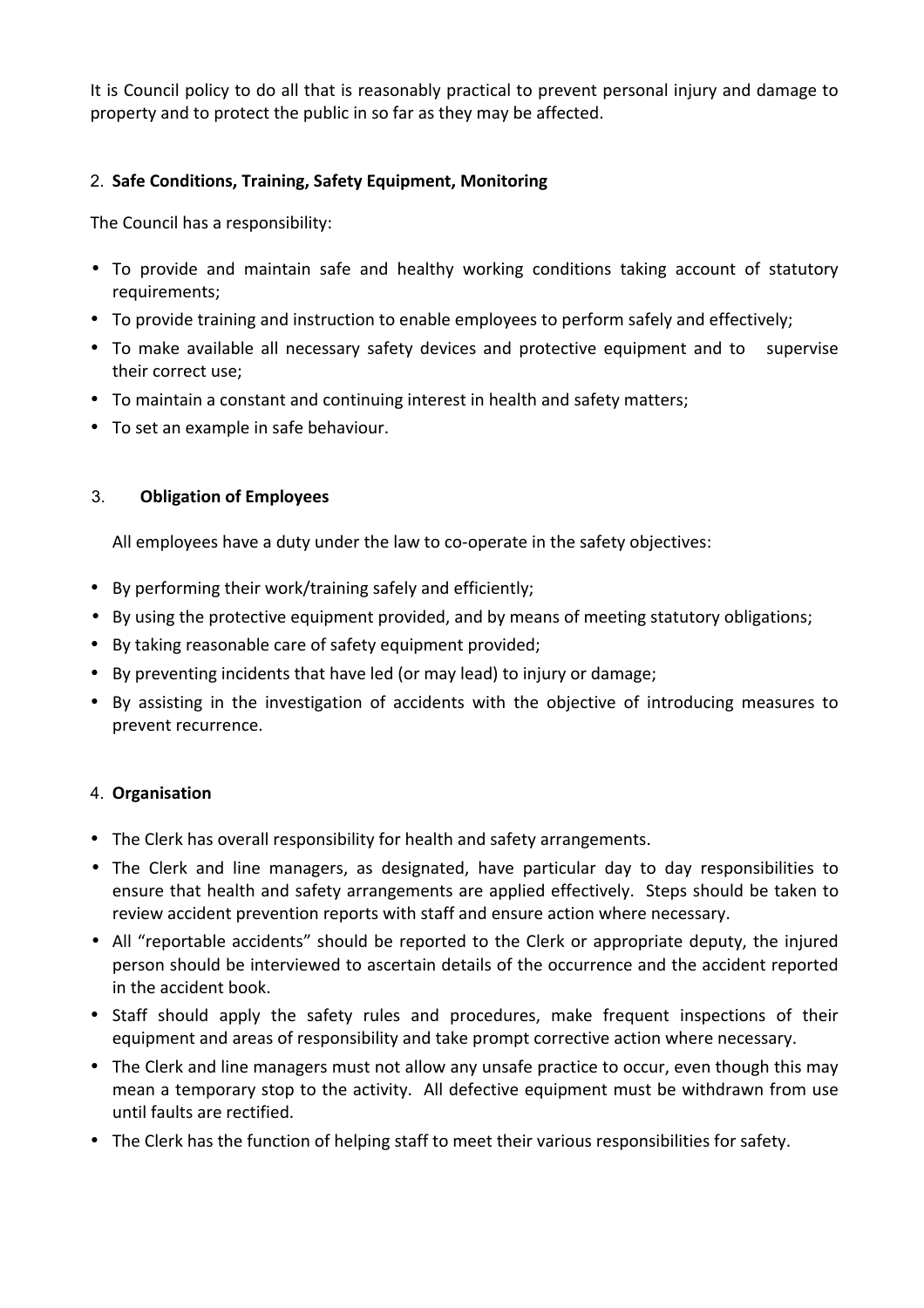It is Council policy to do all that is reasonably practical to prevent personal injury and damage to property and to protect the public in so far as they may be affected.

## 2. Safe Conditions, Training, Safety Equipment, Monitoring

The Council has a responsibility:

- To provide and maintain safe and healthy working conditions taking account of statutory requirements;
- To provide training and instruction to enable employees to perform safely and effectively;
- To make available all necessary safety devices and protective equipment and to supervise their correct use;
- To maintain a constant and continuing interest in health and safety matters;
- To set an example in safe behaviour.

# 3. **Obligation of Employees**

All employees have a duty under the law to co-operate in the safety objectives:

- By performing their work/training safely and efficiently;
- By using the protective equipment provided, and by means of meeting statutory obligations;
- By taking reasonable care of safety equipment provided;
- By preventing incidents that have led (or may lead) to injury or damage;
- By assisting in the investigation of accidents with the objective of introducing measures to prevent recurrence.

# 4. **Organisation**

- The Clerk has overall responsibility for health and safety arrangements.
- The Clerk and line managers, as designated, have particular day to day responsibilities to ensure that health and safety arrangements are applied effectively. Steps should be taken to review accident prevention reports with staff and ensure action where necessary.
- All "reportable accidents" should be reported to the Clerk or appropriate deputy, the injured person should be interviewed to ascertain details of the occurrence and the accident reported in the accident book.
- Staff should apply the safety rules and procedures, make frequent inspections of their equipment and areas of responsibility and take prompt corrective action where necessary.
- The Clerk and line managers must not allow any unsafe practice to occur, even though this may mean a temporary stop to the activity. All defective equipment must be withdrawn from use until faults are rectified.
- The Clerk has the function of helping staff to meet their various responsibilities for safety.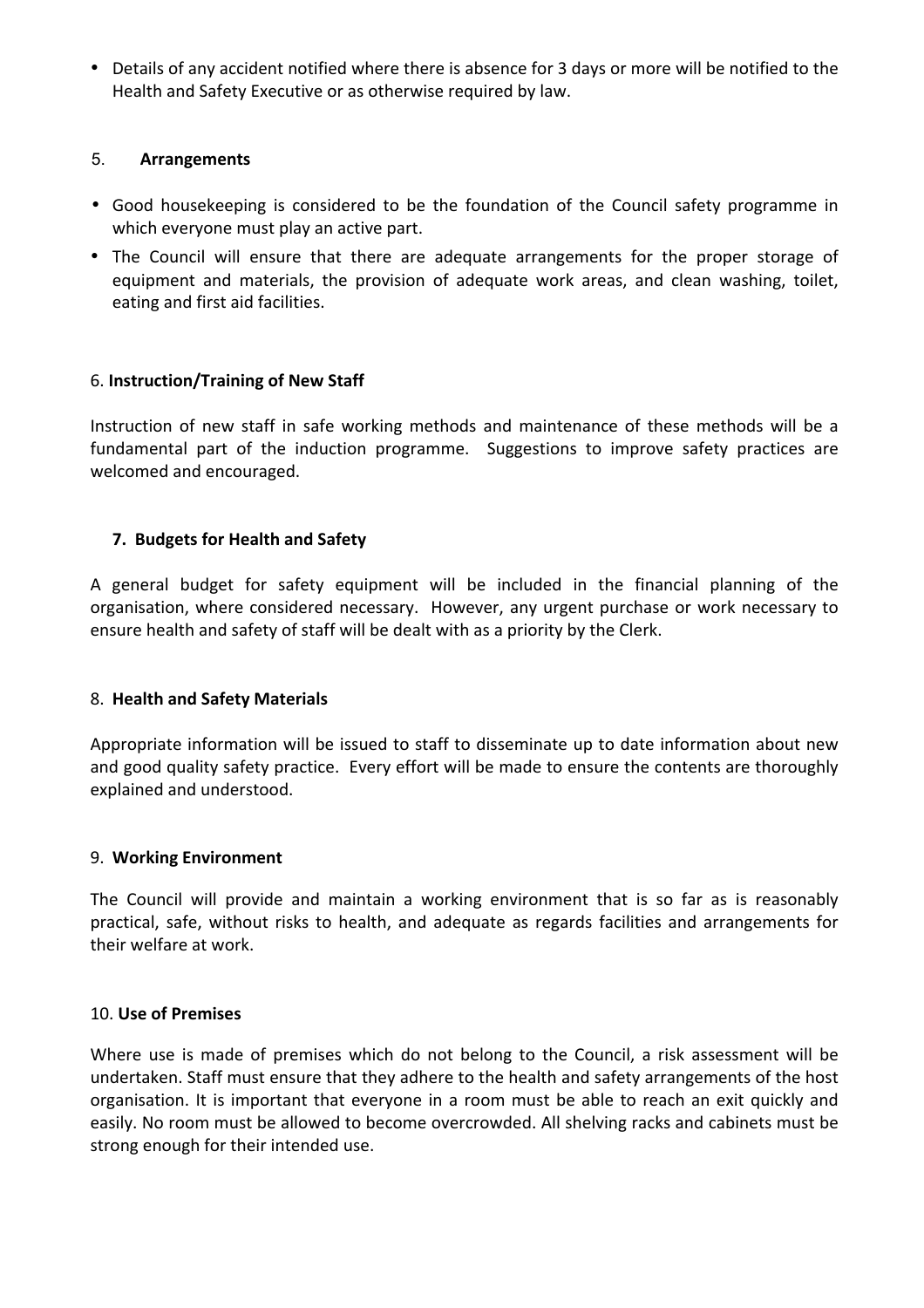• Details of any accident notified where there is absence for 3 days or more will be notified to the Health and Safety Executive or as otherwise required by law.

## 5. **Arrangements**

- Good housekeeping is considered to be the foundation of the Council safety programme in which everyone must play an active part.
- The Council will ensure that there are adequate arrangements for the proper storage of equipment and materials, the provision of adequate work areas, and clean washing, toilet, eating and first aid facilities.

## 6. **Instruction/Training of New Staff**

Instruction of new staff in safe working methods and maintenance of these methods will be a fundamental part of the induction programme. Suggestions to improve safety practices are welcomed and encouraged.

## **7. Budgets for Health and Safety**

A general budget for safety equipment will be included in the financial planning of the organisation, where considered necessary. However, any urgent purchase or work necessary to ensure health and safety of staff will be dealt with as a priority by the Clerk.

## 8. **Health and Safety Materials**

Appropriate information will be issued to staff to disseminate up to date information about new and good quality safety practice. Every effort will be made to ensure the contents are thoroughly explained and understood.

## 9. **Working Environment**

The Council will provide and maintain a working environment that is so far as is reasonably practical, safe, without risks to health, and adequate as regards facilities and arrangements for their welfare at work.

## 10. **Use of Premises**

Where use is made of premises which do not belong to the Council, a risk assessment will be undertaken. Staff must ensure that they adhere to the health and safety arrangements of the host organisation. It is important that everyone in a room must be able to reach an exit quickly and easily. No room must be allowed to become overcrowded. All shelving racks and cabinets must be strong enough for their intended use.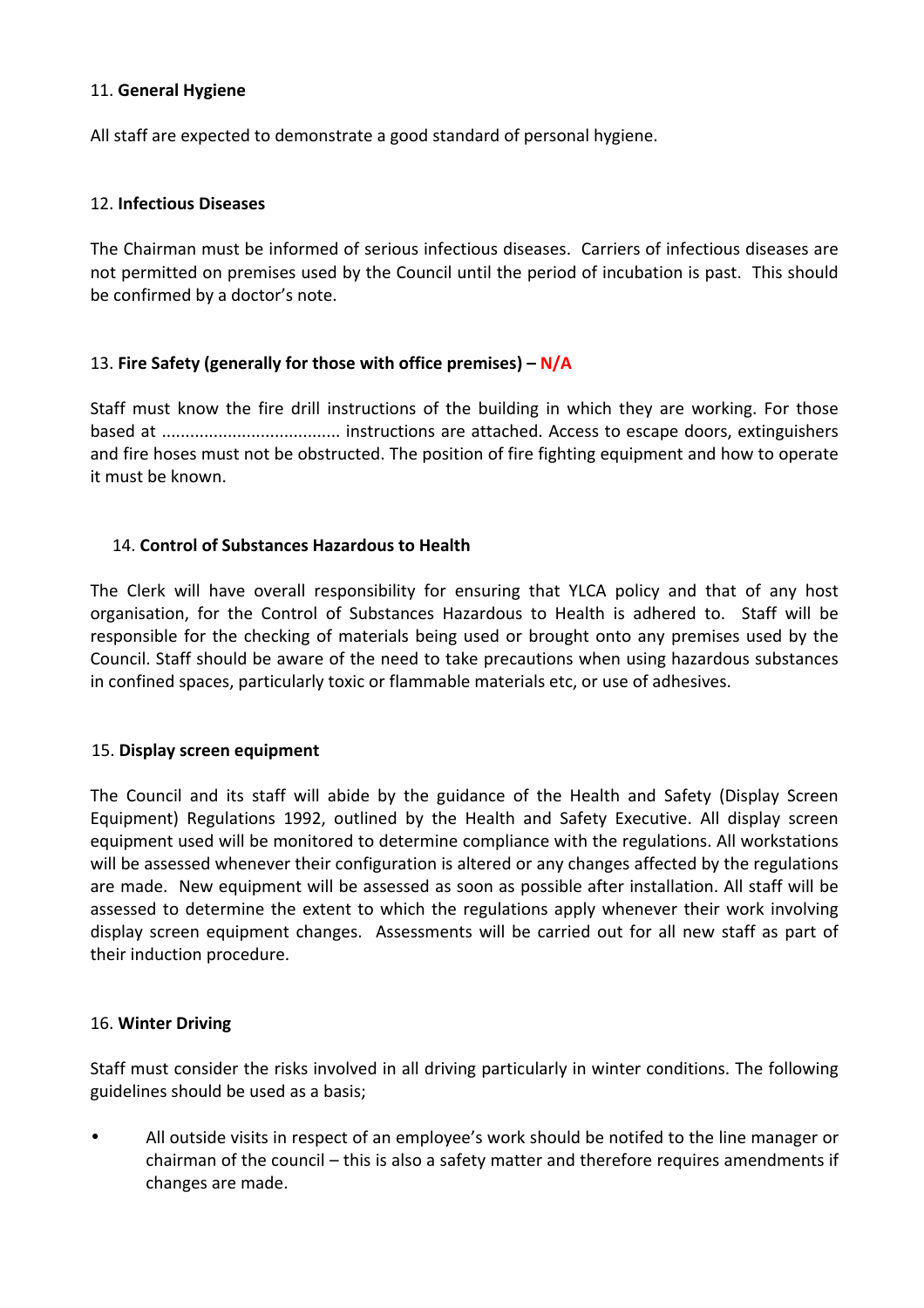## 11. **General Hygiene**

All staff are expected to demonstrate a good standard of personal hygiene.

## 12. **Infectious Diseases**

The Chairman must be informed of serious infectious diseases. Carriers of infectious diseases are not permitted on premises used by the Council until the period of incubation is past. This should be confirmed by a doctor's note.

## 13. Fire Safety (generally for those with office premises) – N/A

Staff must know the fire drill instructions of the building in which they are working. For those based at ...................................... instructions are attached. Access to escape doors, extinguishers and fire hoses must not be obstructed. The position of fire fighting equipment and how to operate it must be known.

## 14. **Control of Substances Hazardous to Health**

The Clerk will have overall responsibility for ensuring that YLCA policy and that of any host organisation, for the Control of Substances Hazardous to Health is adhered to. Staff will be responsible for the checking of materials being used or brought onto any premises used by the Council. Staff should be aware of the need to take precautions when using hazardous substances in confined spaces, particularly toxic or flammable materials etc, or use of adhesives.

## 15. Display screen equipment

The Council and its staff will abide by the guidance of the Health and Safety (Display Screen Equipment) Regulations 1992, outlined by the Health and Safety Executive. All display screen equipment used will be monitored to determine compliance with the regulations. All workstations will be assessed whenever their configuration is altered or any changes affected by the regulations are made. New equipment will be assessed as soon as possible after installation. All staff will be assessed to determine the extent to which the regulations apply whenever their work involving display screen equipment changes. Assessments will be carried out for all new staff as part of their induction procedure.

## 16. **Winter Driving**

Staff must consider the risks involved in all driving particularly in winter conditions. The following guidelines should be used as a basis;

• All outside visits in respect of an employee's work should be notifed to the line manager or chairman of the council – this is also a safety matter and therefore requires amendments if changes are made.